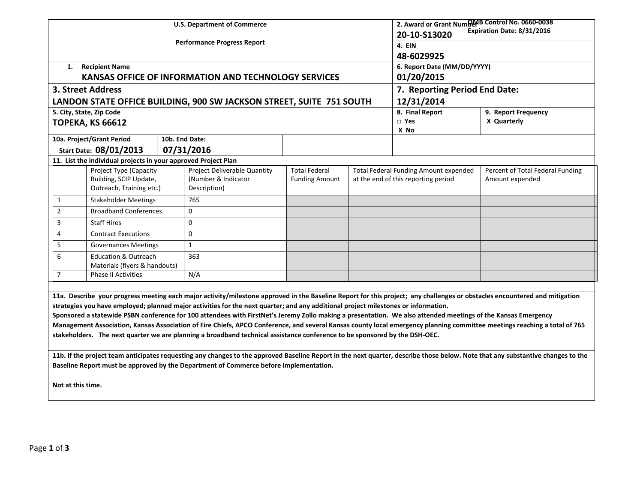|                                                                                                                                                                                                                                                                                                                                                                                                                                                                                                                                                                                                                                                                                                                                                                                              |                                                                  |  | <b>U.S. Department of Commerce</b>                                   | 2. Award or Grant Numbert Control No. 0660-0038<br>Expiration Date: 8/31/2016<br>20-10-S13020 |                     |                                              |                                  |  |  |
|----------------------------------------------------------------------------------------------------------------------------------------------------------------------------------------------------------------------------------------------------------------------------------------------------------------------------------------------------------------------------------------------------------------------------------------------------------------------------------------------------------------------------------------------------------------------------------------------------------------------------------------------------------------------------------------------------------------------------------------------------------------------------------------------|------------------------------------------------------------------|--|----------------------------------------------------------------------|-----------------------------------------------------------------------------------------------|---------------------|----------------------------------------------|----------------------------------|--|--|
|                                                                                                                                                                                                                                                                                                                                                                                                                                                                                                                                                                                                                                                                                                                                                                                              |                                                                  |  | <b>Performance Progress Report</b>                                   | <b>4. EIN</b>                                                                                 |                     |                                              |                                  |  |  |
|                                                                                                                                                                                                                                                                                                                                                                                                                                                                                                                                                                                                                                                                                                                                                                                              |                                                                  |  |                                                                      | 48-6029925                                                                                    |                     |                                              |                                  |  |  |
| 1.                                                                                                                                                                                                                                                                                                                                                                                                                                                                                                                                                                                                                                                                                                                                                                                           | <b>Recipient Name</b>                                            |  |                                                                      | 6. Report Date (MM/DD/YYYY)                                                                   |                     |                                              |                                  |  |  |
|                                                                                                                                                                                                                                                                                                                                                                                                                                                                                                                                                                                                                                                                                                                                                                                              |                                                                  |  | KANSAS OFFICE OF INFORMATION AND TECHNOLOGY SERVICES                 | 01/20/2015                                                                                    |                     |                                              |                                  |  |  |
|                                                                                                                                                                                                                                                                                                                                                                                                                                                                                                                                                                                                                                                                                                                                                                                              | 3. Street Address                                                |  |                                                                      | 7. Reporting Period End Date:                                                                 |                     |                                              |                                  |  |  |
|                                                                                                                                                                                                                                                                                                                                                                                                                                                                                                                                                                                                                                                                                                                                                                                              |                                                                  |  | LANDON STATE OFFICE BUILDING, 900 SW JACKSON STREET, SUITE 751 SOUTH | 12/31/2014                                                                                    |                     |                                              |                                  |  |  |
|                                                                                                                                                                                                                                                                                                                                                                                                                                                                                                                                                                                                                                                                                                                                                                                              | 5. City, State, Zip Code                                         |  |                                                                      | 8. Final Report                                                                               | 9. Report Frequency |                                              |                                  |  |  |
|                                                                                                                                                                                                                                                                                                                                                                                                                                                                                                                                                                                                                                                                                                                                                                                              | <b>TOPEKA, KS 66612</b>                                          |  |                                                                      |                                                                                               | $\Box$ Yes<br>X No  | X Quarterly                                  |                                  |  |  |
|                                                                                                                                                                                                                                                                                                                                                                                                                                                                                                                                                                                                                                                                                                                                                                                              | 10a. Project/Grant Period                                        |  | 10b. End Date:                                                       |                                                                                               |                     |                                              |                                  |  |  |
|                                                                                                                                                                                                                                                                                                                                                                                                                                                                                                                                                                                                                                                                                                                                                                                              | Start Date: 08/01/2013                                           |  | 07/31/2016                                                           |                                                                                               |                     |                                              |                                  |  |  |
| 11. List the individual projects in your approved Project Plan                                                                                                                                                                                                                                                                                                                                                                                                                                                                                                                                                                                                                                                                                                                               |                                                                  |  |                                                                      |                                                                                               |                     |                                              |                                  |  |  |
|                                                                                                                                                                                                                                                                                                                                                                                                                                                                                                                                                                                                                                                                                                                                                                                              | Project Type (Capacity                                           |  | Project Deliverable Quantity                                         | <b>Total Federal</b>                                                                          |                     | <b>Total Federal Funding Amount expended</b> | Percent of Total Federal Funding |  |  |
|                                                                                                                                                                                                                                                                                                                                                                                                                                                                                                                                                                                                                                                                                                                                                                                              | Building, SCIP Update,<br>Outreach, Training etc.)               |  | (Number & Indicator<br>Description)                                  | <b>Funding Amount</b>                                                                         |                     | at the end of this reporting period          | Amount expended                  |  |  |
| 1                                                                                                                                                                                                                                                                                                                                                                                                                                                                                                                                                                                                                                                                                                                                                                                            | <b>Stakeholder Meetings</b>                                      |  | 765                                                                  |                                                                                               |                     |                                              |                                  |  |  |
| $\overline{2}$                                                                                                                                                                                                                                                                                                                                                                                                                                                                                                                                                                                                                                                                                                                                                                               | <b>Broadband Conferences</b>                                     |  | $\mathbf 0$                                                          |                                                                                               |                     |                                              |                                  |  |  |
| 3                                                                                                                                                                                                                                                                                                                                                                                                                                                                                                                                                                                                                                                                                                                                                                                            | <b>Staff Hires</b>                                               |  | $\mathbf 0$                                                          |                                                                                               |                     |                                              |                                  |  |  |
| 4                                                                                                                                                                                                                                                                                                                                                                                                                                                                                                                                                                                                                                                                                                                                                                                            | <b>Contract Executions</b>                                       |  | $\mathbf 0$                                                          |                                                                                               |                     |                                              |                                  |  |  |
| 5                                                                                                                                                                                                                                                                                                                                                                                                                                                                                                                                                                                                                                                                                                                                                                                            | <b>Governances Meetings</b>                                      |  | $\mathbf{1}$                                                         |                                                                                               |                     |                                              |                                  |  |  |
| 6                                                                                                                                                                                                                                                                                                                                                                                                                                                                                                                                                                                                                                                                                                                                                                                            | <b>Education &amp; Outreach</b><br>Materials (flyers & handouts) |  | 363                                                                  |                                                                                               |                     |                                              |                                  |  |  |
| $\overline{7}$                                                                                                                                                                                                                                                                                                                                                                                                                                                                                                                                                                                                                                                                                                                                                                               | <b>Phase II Activities</b>                                       |  | N/A                                                                  |                                                                                               |                     |                                              |                                  |  |  |
|                                                                                                                                                                                                                                                                                                                                                                                                                                                                                                                                                                                                                                                                                                                                                                                              |                                                                  |  |                                                                      |                                                                                               |                     |                                              |                                  |  |  |
| 11a. Describe your progress meeting each major activity/milestone approved in the Baseline Report for this project; any challenges or obstacles encountered and mitigation<br>strategies you have employed; planned major activities for the next quarter; and any additional project milestones or information.<br>Sponsored a statewide PSBN conference for 100 attendees with FirstNet's Jeremy Zollo making a presentation. We also attended meetings of the Kansas Emergency<br>Management Association, Kansas Association of Fire Chiefs, APCO Conference, and several Kansas county local emergency planning committee meetings reaching a total of 765<br>stakeholders. The next quarter we are planning a broadband technical assistance conference to be sponsored by the DSH-OEC. |                                                                  |  |                                                                      |                                                                                               |                     |                                              |                                  |  |  |
| 11b. If the project team anticipates requesting any changes to the approved Baseline Report in the next quarter, describe those below. Note that any substantive changes to the<br>Baseline Report must be approved by the Department of Commerce before implementation.<br>Not at this time.                                                                                                                                                                                                                                                                                                                                                                                                                                                                                                |                                                                  |  |                                                                      |                                                                                               |                     |                                              |                                  |  |  |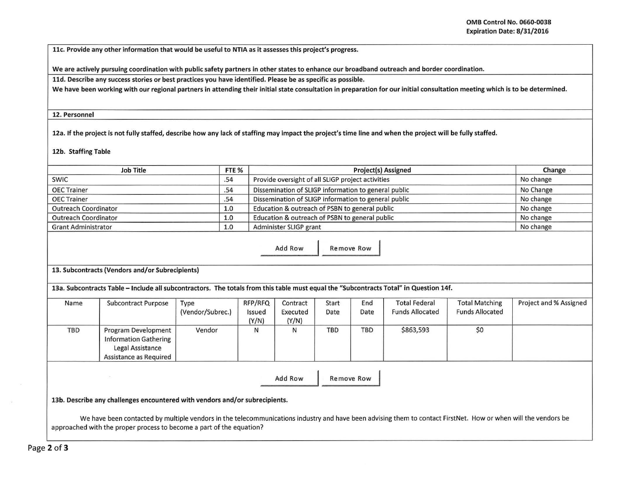11c. Provide any other information that would be useful to NTIA as it assesses this project's progress.

We are actively pursuing coordination with public safety partners in other states to enhance our broadband outreach and border coordination.

lld. Describe any success stories or best practices you have identified. Please be as specific as possible.

We have been working with our regional partners in attending their initial state consultation in preparation for our initial consultation meeting which is to be determined.

12. Personnel

12a. If the project is not fully staffed, describe how any lack of staffing may impact the project's time line and when the project will be fully staffed.

12b. Staffing Table

| <b>Job Title</b><br>FTE %                                                                                                             |                                                                                                                                                                |                                                |                 |                                                      | Change     |            |                        |                        |                        |  |
|---------------------------------------------------------------------------------------------------------------------------------------|----------------------------------------------------------------------------------------------------------------------------------------------------------------|------------------------------------------------|-----------------|------------------------------------------------------|------------|------------|------------------------|------------------------|------------------------|--|
| <b>SWIC</b>                                                                                                                           |                                                                                                                                                                | .54                                            |                 | Provide oversight of all SLIGP project activities    | No change  |            |                        |                        |                        |  |
| <b>OEC Trainer</b>                                                                                                                    |                                                                                                                                                                | .54                                            |                 | Dissemination of SLIGP information to general public | No Change  |            |                        |                        |                        |  |
| <b>OEC Trainer</b>                                                                                                                    |                                                                                                                                                                | .54                                            |                 | Dissemination of SLIGP information to general public | No change  |            |                        |                        |                        |  |
| <b>Outreach Coordinator</b>                                                                                                           |                                                                                                                                                                | Education & outreach of PSBN to general public | No change       |                                                      |            |            |                        |                        |                        |  |
| <b>Outreach Coordinator</b>                                                                                                           |                                                                                                                                                                | Education & outreach of PSBN to general public | No change       |                                                      |            |            |                        |                        |                        |  |
| <b>Grant Administrator</b><br>1.0                                                                                                     |                                                                                                                                                                |                                                |                 | Administer SLIGP grant                               | No change  |            |                        |                        |                        |  |
| Add Row<br><b>Remove Row</b>                                                                                                          |                                                                                                                                                                |                                                |                 |                                                      |            |            |                        |                        |                        |  |
| 13. Subcontracts (Vendors and/or Subrecipients)                                                                                       |                                                                                                                                                                |                                                |                 |                                                      |            |            |                        |                        |                        |  |
| 13a. Subcontracts Table - Include all subcontractors. The totals from this table must equal the "Subcontracts Total" in Question 14f. |                                                                                                                                                                |                                                |                 |                                                      |            |            |                        |                        |                        |  |
| Name                                                                                                                                  | Subcontract Purpose                                                                                                                                            | Type                                           | RFP/RFQ         | Contract                                             | Start      | End        | <b>Total Federal</b>   | <b>Total Matching</b>  | Project and % Assigned |  |
|                                                                                                                                       |                                                                                                                                                                | (Vendor/Subrec.)                               | Issued<br>(Y/N) | Executed<br>(Y/N)                                    | Date       | Date       | <b>Funds Allocated</b> | <b>Funds Allocated</b> |                        |  |
| <b>TBD</b>                                                                                                                            | Program Development<br><b>Information Gathering</b><br>Legal Assistance<br>Assistance as Required                                                              | Vendor                                         | N               | N                                                    | <b>TBD</b> | <b>TBD</b> | \$863,593              | \$0                    |                        |  |
|                                                                                                                                       | 13b. Describe any challenges encountered with vendors and/or subrecipients.                                                                                    |                                                |                 | Add Row                                              |            | Remove Row |                        |                        |                        |  |
|                                                                                                                                       | We have been contacted by multiple vendors in the telecommunications industry and have been advising them to contact FirstNet. How or when will the vendors be |                                                |                 |                                                      |            |            |                        |                        |                        |  |

approached with the proper process to become a part of the equation?